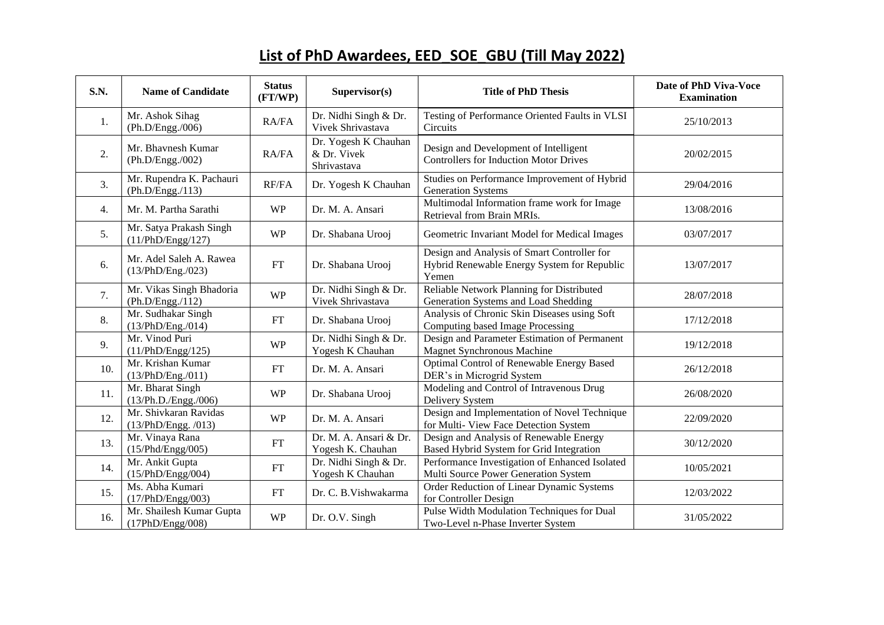## **List of PhD Awardees, EED\_SOE\_GBU (Till May 2022)**

| <b>S.N.</b>      | <b>Name of Candidate</b>                     | <b>Status</b><br>(FT/WP) | Supervisor(s)                                      | <b>Title of PhD Thesis</b>                                                                          | Date of PhD Viva-Voce<br><b>Examination</b> |
|------------------|----------------------------------------------|--------------------------|----------------------------------------------------|-----------------------------------------------------------------------------------------------------|---------------------------------------------|
| 1.               | Mr. Ashok Sihag<br>(Ph.D/Engg./006)          | RA/FA                    | Dr. Nidhi Singh & Dr.<br>Vivek Shrivastava         | Testing of Performance Oriented Faults in VLSI<br>Circuits                                          | 25/10/2013                                  |
| 2.               | Mr. Bhavnesh Kumar<br>(Ph.D/Engg./002)       | RA/FA                    | Dr. Yogesh K Chauhan<br>& Dr. Vivek<br>Shrivastava | Design and Development of Intelligent<br><b>Controllers for Induction Motor Drives</b>              | 20/02/2015                                  |
| 3.               | Mr. Rupendra K. Pachauri<br>(Ph.D/Engg./113) | RF/FA                    | Dr. Yogesh K Chauhan                               | Studies on Performance Improvement of Hybrid<br><b>Generation Systems</b>                           | 29/04/2016                                  |
| $\overline{4}$ . | Mr. M. Partha Sarathi                        | <b>WP</b>                | Dr. M. A. Ansari                                   | Multimodal Information frame work for Image<br>Retrieval from Brain MRIs.                           | 13/08/2016                                  |
| 5.               | Mr. Satya Prakash Singh<br>(11/PhD/Engg/127) | <b>WP</b>                | Dr. Shabana Urooj                                  | Geometric Invariant Model for Medical Images                                                        | 03/07/2017                                  |
| 6.               | Mr. Adel Saleh A. Rawea<br>(13/PhD/Eng./023) | $FT$                     | Dr. Shabana Urooj                                  | Design and Analysis of Smart Controller for<br>Hybrid Renewable Energy System for Republic<br>Yemen | 13/07/2017                                  |
| 7.               | Mr. Vikas Singh Bhadoria<br>(Ph.D/Engg./112) | <b>WP</b>                | Dr. Nidhi Singh & Dr.<br>Vivek Shrivastava         | Reliable Network Planning for Distributed<br>Generation Systems and Load Shedding                   | 28/07/2018                                  |
| 8.               | Mr. Sudhakar Singh<br>(13/PhD/Eng. / 014)    | FT                       | Dr. Shabana Urooj                                  | Analysis of Chronic Skin Diseases using Soft<br>Computing based Image Processing                    | 17/12/2018                                  |
| 9.               | Mr. Vinod Puri<br>(11/PhD/Engg/125)          | <b>WP</b>                | Dr. Nidhi Singh & Dr.<br>Yogesh K Chauhan          | Design and Parameter Estimation of Permanent<br>Magnet Synchronous Machine                          | 19/12/2018                                  |
| 10.              | Mr. Krishan Kumar<br>(13/PhD/Eng./011)       | FT                       | Dr. M. A. Ansari                                   | Optimal Control of Renewable Energy Based<br>DER's in Microgrid System                              | 26/12/2018                                  |
| 11.              | Mr. Bharat Singh<br>(13/Ph.D./Engg./006)     | <b>WP</b>                | Dr. Shabana Urooj                                  | Modeling and Control of Intravenous Drug<br>Delivery System                                         | 26/08/2020                                  |
| 12.              | Mr. Shivkaran Ravidas<br>(13/PhD/Engg. /013) | <b>WP</b>                | Dr. M. A. Ansari                                   | Design and Implementation of Novel Technique<br>for Multi- View Face Detection System               | 22/09/2020                                  |
| 13.              | Mr. Vinaya Rana<br>(15/Phd/Engg/005)         | ${\rm FT}$               | Dr. M. A. Ansari & Dr.<br>Yogesh K. Chauhan        | Design and Analysis of Renewable Energy<br>Based Hybrid System for Grid Integration                 | 30/12/2020                                  |
| 14.              | Mr. Ankit Gupta<br>(15/PhD/Engg/004)         | FT                       | Dr. Nidhi Singh & Dr.<br>Yogesh K Chauhan          | Performance Investigation of Enhanced Isolated<br>Multi Source Power Generation System              | 10/05/2021                                  |
| 15.              | Ms. Abha Kumari<br>(17/PhD/Engg/003)         | ${\rm FT}$               | Dr. C. B. Vishwakarma                              | Order Reduction of Linear Dynamic Systems<br>for Controller Design                                  | 12/03/2022                                  |
| 16.              | Mr. Shailesh Kumar Gupta<br>(17PhD/Engg/008) | <b>WP</b>                | Dr. O.V. Singh                                     | Pulse Width Modulation Techniques for Dual<br>Two-Level n-Phase Inverter System                     | 31/05/2022                                  |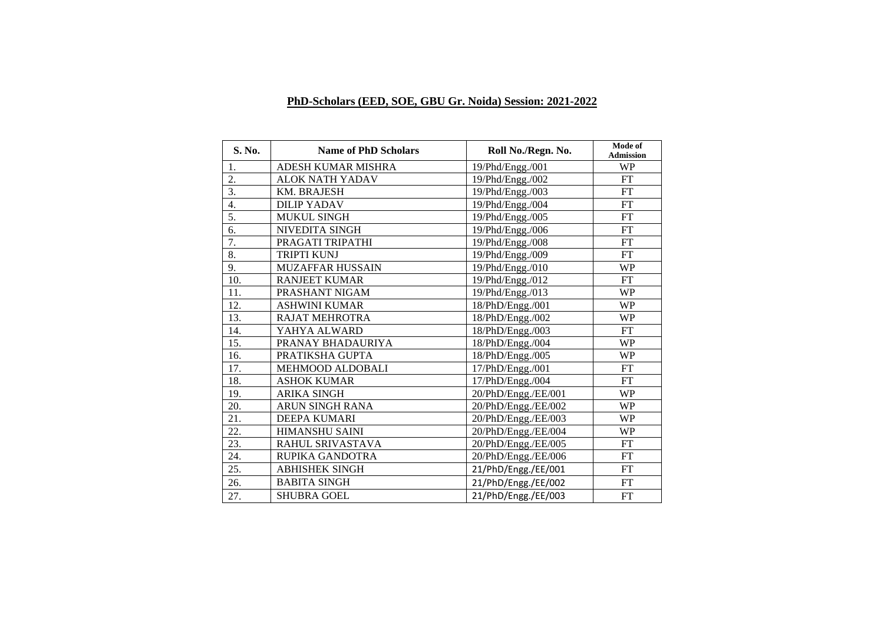## **PhD-Scholars (EED, SOE, GBU Gr. Noida) Session: 2021-2022**

| S. No.           | <b>Name of PhD Scholars</b> | Roll No./Regn. No.  | Mode of<br><b>Admission</b> |
|------------------|-----------------------------|---------------------|-----------------------------|
| 1.               | ADESH KUMAR MISHRA          | 19/Phd/Engg./001    | <b>WP</b>                   |
| 2.               | <b>ALOK NATH YADAV</b>      | 19/Phd/Engg./002    | FT                          |
| 3.               | <b>KM. BRAJESH</b>          | 19/Phd/Engg./003    | FT                          |
| $\overline{4}$ . | <b>DILIP YADAV</b>          | 19/Phd/Engg./004    | FT                          |
| 5.               | MUKUL SINGH                 | 19/Phd/Engg./005    | <b>FT</b>                   |
| 6.               | NIVEDITA SINGH              | 19/Phd/Engg./006    | FT                          |
| 7.               | PRAGATI TRIPATHI            | 19/Phd/Engg./008    | <b>FT</b>                   |
| 8.               | <b>TRIPTI KUNJ</b>          | 19/Phd/Engg./009    | FT                          |
| 9.               | <b>MUZAFFAR HUSSAIN</b>     | 19/Phd/Engg./010    | <b>WP</b>                   |
| 10.              | <b>RANJEET KUMAR</b>        | 19/Phd/Engg./012    | <b>FT</b>                   |
| 11.              | PRASHANT NIGAM              | 19/Phd/Engg./013    | <b>WP</b>                   |
| 12.              | <b>ASHWINI KUMAR</b>        | 18/PhD/Engg./001    | <b>WP</b>                   |
| 13.              | <b>RAJAT MEHROTRA</b>       | 18/PhD/Engg./002    | WP                          |
| 14.              | YAHYA ALWARD                | 18/PhD/Engg./003    | <b>FT</b>                   |
| 15.              | PRANAY BHADAURIYA           | 18/PhD/Engg./004    | <b>WP</b>                   |
| 16.              | PRATIKSHA GUPTA             | 18/PhD/Engg./005    | <b>WP</b>                   |
| 17.              | MEHMOOD ALDOBALI            | 17/PhD/Engg./001    | FT                          |
| 18.              | <b>ASHOK KUMAR</b>          | 17/PhD/Engg./004    | FT                          |
| 19.              | <b>ARIKA SINGH</b>          | 20/PhD/Engg./EE/001 | WP                          |
| 20.              | <b>ARUN SINGH RANA</b>      | 20/PhD/Engg./EE/002 | <b>WP</b>                   |
| 21.              | <b>DEEPA KUMARI</b>         | 20/PhD/Engg./EE/003 | WP                          |
| 22.              | <b>HIMANSHU SAINI</b>       | 20/PhD/Engg./EE/004 | WP                          |
| 23.              | RAHUL SRIVASTAVA            | 20/PhD/Engg./EE/005 | FT                          |
| 24.              | RUPIKA GANDOTRA             | 20/PhD/Engg./EE/006 | <b>FT</b>                   |
| 25.              | <b>ABHISHEK SINGH</b>       | 21/PhD/Engg./EE/001 | FT                          |
| 26.              | <b>BABITA SINGH</b>         | 21/PhD/Engg./EE/002 | FT                          |
| 27.              | <b>SHUBRA GOEL</b>          | 21/PhD/Engg./EE/003 | FT                          |